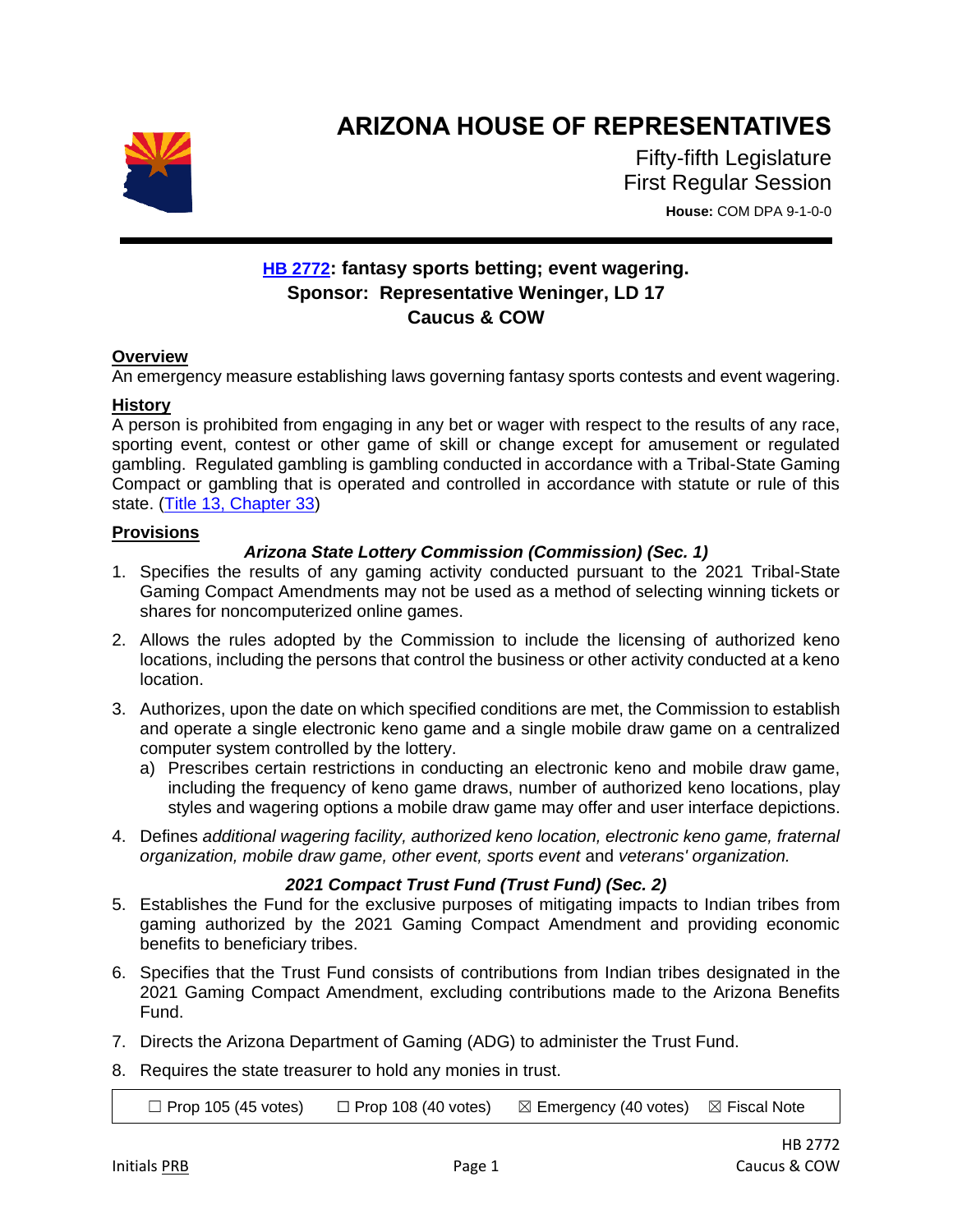

# **ARIZONA HOUSE OF REPRESENTATIVES**

Fifty-fifth Legislature First Regular Session **House:** COM DPA 9-1-0-0

# **[HB 2772](https://apps.azleg.gov/BillStatus/BillOverview/75868): fantasy sports betting; event wagering. Sponsor: Representative Weninger, LD 17 Caucus & COW**

# **Overview**

An emergency measure establishing laws governing fantasy sports contests and event wagering.

#### **History**

A person is prohibited from engaging in any bet or wager with respect to the results of any race, sporting event, contest or other game of skill or change except for amusement or regulated gambling. Regulated gambling is gambling conducted in accordance with a Tribal-State Gaming Compact or gambling that is operated and controlled in accordance with statute or rule of this state. [\(Title 13, Chapter 33\)](https://www.azleg.gov/arsDetail/?title=13)

#### **Provisions**

# *Arizona State Lottery Commission (Commission) (Sec. 1)*

- 1. Specifies the results of any gaming activity conducted pursuant to the 2021 Tribal-State Gaming Compact Amendments may not be used as a method of selecting winning tickets or shares for noncomputerized online games.
- 2. Allows the rules adopted by the Commission to include the licensing of authorized keno locations, including the persons that control the business or other activity conducted at a keno location.
- 3. Authorizes, upon the date on which specified conditions are met, the Commission to establish and operate a single electronic keno game and a single mobile draw game on a centralized computer system controlled by the lottery.
	- a) Prescribes certain restrictions in conducting an electronic keno and mobile draw game, including the frequency of keno game draws, number of authorized keno locations, play styles and wagering options a mobile draw game may offer and user interface depictions.
- 4. Defines *additional wagering facility, authorized keno location, electronic keno game, fraternal organization, mobile draw game, other event, sports event* and *veterans' organization.*

# *2021 Compact Trust Fund (Trust Fund) (Sec. 2)*

- 5. Establishes the Fund for the exclusive purposes of mitigating impacts to Indian tribes from gaming authorized by the 2021 Gaming Compact Amendment and providing economic benefits to beneficiary tribes.
- 6. Specifies that the Trust Fund consists of contributions from Indian tribes designated in the 2021 Gaming Compact Amendment, excluding contributions made to the Arizona Benefits Fund.
- 7. Directs the Arizona Department of Gaming (ADG) to administer the Trust Fund.
- 8. Requires the state treasurer to hold any monies in trust.

 $\Box$  Prop 105 (45 votes)  $\Box$  Prop 108 (40 votes)  $\boxtimes$  Emergency (40 votes)  $\boxtimes$  Fiscal Note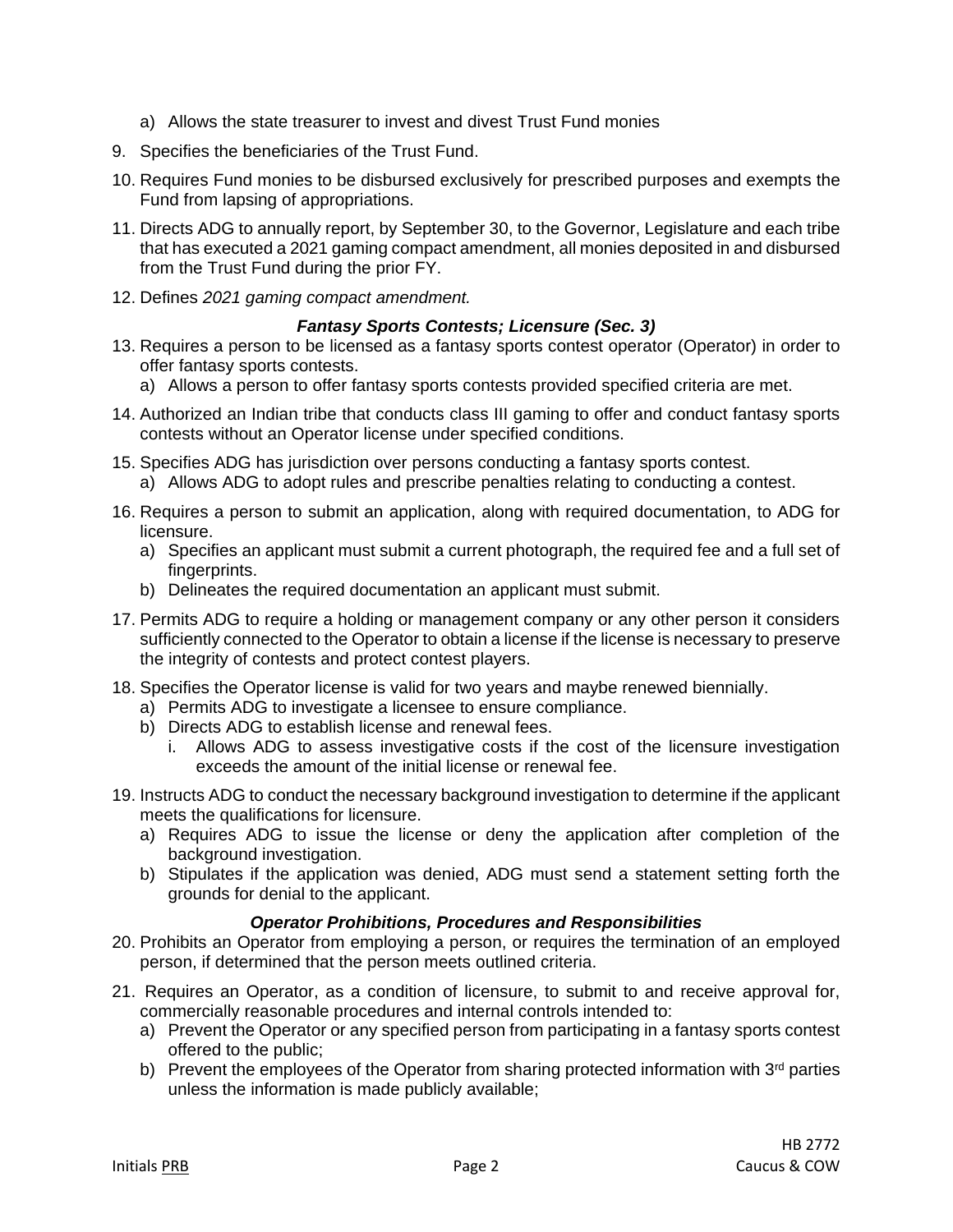- a) Allows the state treasurer to invest and divest Trust Fund monies
- 9. Specifies the beneficiaries of the Trust Fund.
- 10. Requires Fund monies to be disbursed exclusively for prescribed purposes and exempts the Fund from lapsing of appropriations.
- 11. Directs ADG to annually report, by September 30, to the Governor, Legislature and each tribe that has executed a 2021 gaming compact amendment, all monies deposited in and disbursed from the Trust Fund during the prior FY.
- 12. Defines *2021 gaming compact amendment.*

#### *Fantasy Sports Contests; Licensure (Sec. 3)*

- 13. Requires a person to be licensed as a fantasy sports contest operator (Operator) in order to offer fantasy sports contests.
	- a) Allows a person to offer fantasy sports contests provided specified criteria are met.
- 14. Authorized an Indian tribe that conducts class III gaming to offer and conduct fantasy sports contests without an Operator license under specified conditions.
- 15. Specifies ADG has jurisdiction over persons conducting a fantasy sports contest. a) Allows ADG to adopt rules and prescribe penalties relating to conducting a contest.
- 16. Requires a person to submit an application, along with required documentation, to ADG for licensure.
	- a) Specifies an applicant must submit a current photograph, the required fee and a full set of fingerprints.
	- b) Delineates the required documentation an applicant must submit.
- 17. Permits ADG to require a holding or management company or any other person it considers sufficiently connected to the Operator to obtain a license if the license is necessary to preserve the integrity of contests and protect contest players.
- 18. Specifies the Operator license is valid for two years and maybe renewed biennially.
	- a) Permits ADG to investigate a licensee to ensure compliance.
	- b) Directs ADG to establish license and renewal fees.
		- i. Allows ADG to assess investigative costs if the cost of the licensure investigation exceeds the amount of the initial license or renewal fee.
- 19. Instructs ADG to conduct the necessary background investigation to determine if the applicant meets the qualifications for licensure.
	- a) Requires ADG to issue the license or deny the application after completion of the background investigation.
	- b) Stipulates if the application was denied, ADG must send a statement setting forth the grounds for denial to the applicant.

# *Operator Prohibitions, Procedures and Responsibilities*

- 20. Prohibits an Operator from employing a person, or requires the termination of an employed person, if determined that the person meets outlined criteria.
- 21. Requires an Operator, as a condition of licensure, to submit to and receive approval for, commercially reasonable procedures and internal controls intended to:
	- a) Prevent the Operator or any specified person from participating in a fantasy sports contest offered to the public;
	- b) Prevent the employees of the Operator from sharing protected information with  $3<sup>rd</sup>$  parties unless the information is made publicly available;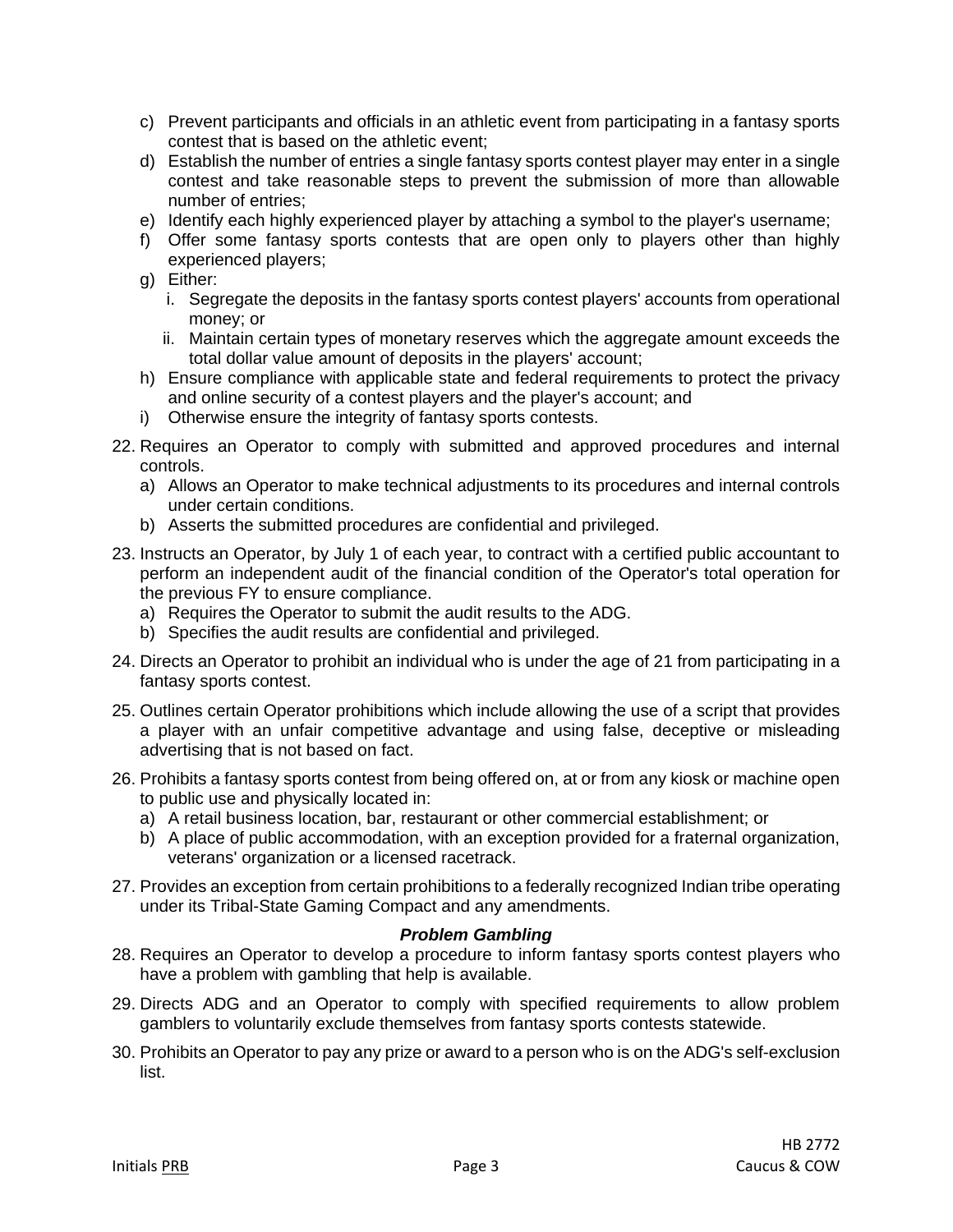- c) Prevent participants and officials in an athletic event from participating in a fantasy sports contest that is based on the athletic event;
- d) Establish the number of entries a single fantasy sports contest player may enter in a single contest and take reasonable steps to prevent the submission of more than allowable number of entries;
- e) Identify each highly experienced player by attaching a symbol to the player's username;
- f) Offer some fantasy sports contests that are open only to players other than highly experienced players;
- g) Either:
	- i. Segregate the deposits in the fantasy sports contest players' accounts from operational money; or
	- ii. Maintain certain types of monetary reserves which the aggregate amount exceeds the total dollar value amount of deposits in the players' account;
- h) Ensure compliance with applicable state and federal requirements to protect the privacy and online security of a contest players and the player's account; and
- i) Otherwise ensure the integrity of fantasy sports contests.
- 22. Requires an Operator to comply with submitted and approved procedures and internal controls.
	- a) Allows an Operator to make technical adjustments to its procedures and internal controls under certain conditions.
	- b) Asserts the submitted procedures are confidential and privileged.
- 23. Instructs an Operator, by July 1 of each year, to contract with a certified public accountant to perform an independent audit of the financial condition of the Operator's total operation for the previous FY to ensure compliance.
	- a) Requires the Operator to submit the audit results to the ADG.
	- b) Specifies the audit results are confidential and privileged.
- 24. Directs an Operator to prohibit an individual who is under the age of 21 from participating in a fantasy sports contest.
- 25. Outlines certain Operator prohibitions which include allowing the use of a script that provides a player with an unfair competitive advantage and using false, deceptive or misleading advertising that is not based on fact.
- 26. Prohibits a fantasy sports contest from being offered on, at or from any kiosk or machine open to public use and physically located in:
	- a) A retail business location, bar, restaurant or other commercial establishment; or
	- b) A place of public accommodation, with an exception provided for a fraternal organization, veterans' organization or a licensed racetrack.
- 27. Provides an exception from certain prohibitions to a federally recognized Indian tribe operating under its Tribal-State Gaming Compact and any amendments.

# *Problem Gambling*

- 28. Requires an Operator to develop a procedure to inform fantasy sports contest players who have a problem with gambling that help is available.
- 29. Directs ADG and an Operator to comply with specified requirements to allow problem gamblers to voluntarily exclude themselves from fantasy sports contests statewide.
- 30. Prohibits an Operator to pay any prize or award to a person who is on the ADG's self-exclusion list.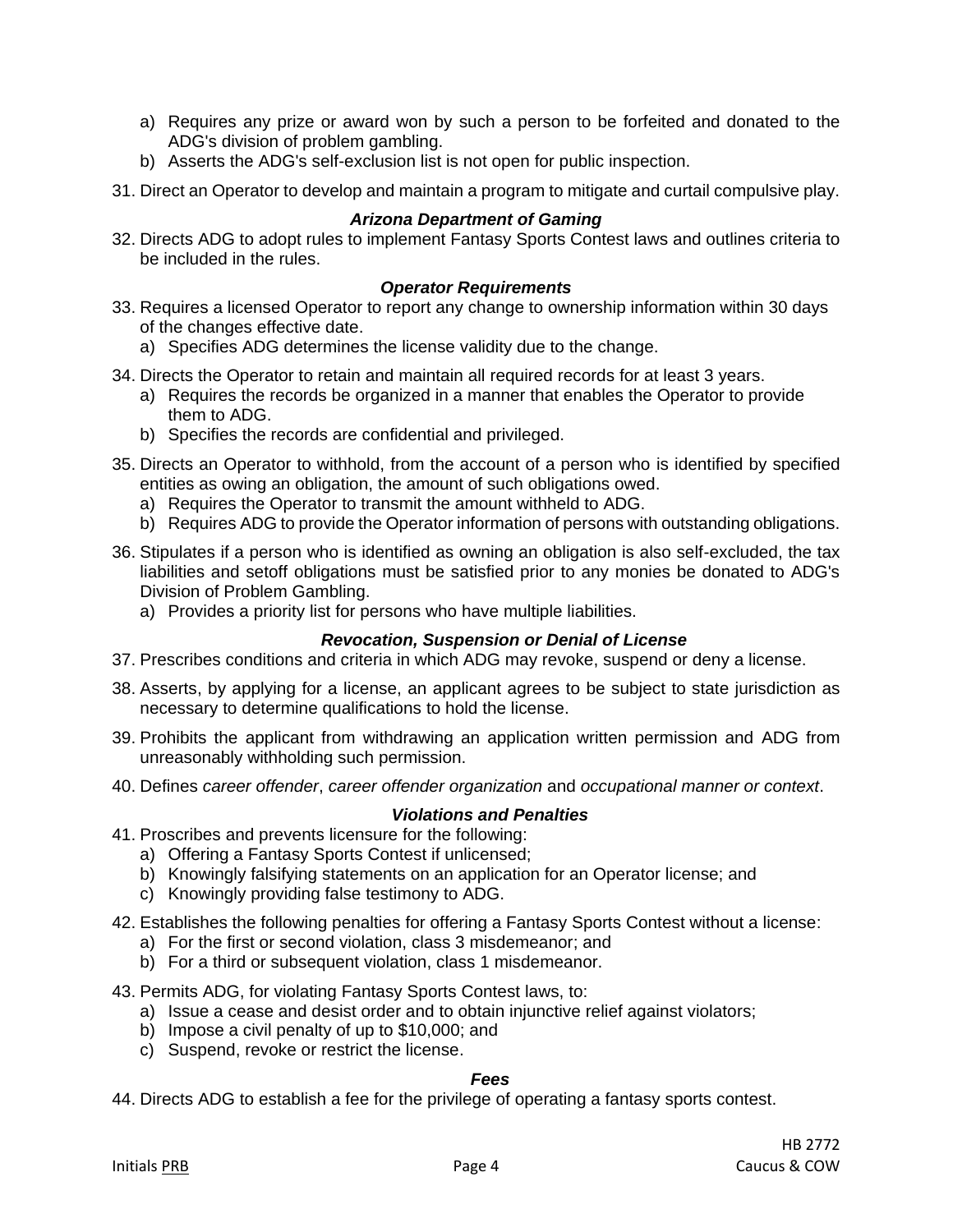- a) Requires any prize or award won by such a person to be forfeited and donated to the ADG's division of problem gambling.
- b) Asserts the ADG's self-exclusion list is not open for public inspection.
- 31. Direct an Operator to develop and maintain a program to mitigate and curtail compulsive play.

#### *Arizona Department of Gaming*

32. Directs ADG to adopt rules to implement Fantasy Sports Contest laws and outlines criteria to be included in the rules.

#### *Operator Requirements*

- 33. Requires a licensed Operator to report any change to ownership information within 30 days of the changes effective date.
	- a) Specifies ADG determines the license validity due to the change.
- 34. Directs the Operator to retain and maintain all required records for at least 3 years.
	- a) Requires the records be organized in a manner that enables the Operator to provide them to ADG.
	- b) Specifies the records are confidential and privileged.
- 35. Directs an Operator to withhold, from the account of a person who is identified by specified entities as owing an obligation, the amount of such obligations owed.
	- a) Requires the Operator to transmit the amount withheld to ADG.
	- b) Requires ADG to provide the Operator information of persons with outstanding obligations.
- 36. Stipulates if a person who is identified as owning an obligation is also self-excluded, the tax liabilities and setoff obligations must be satisfied prior to any monies be donated to ADG's Division of Problem Gambling.
	- a) Provides a priority list for persons who have multiple liabilities.

#### *Revocation, Suspension or Denial of License*

- 37. Prescribes conditions and criteria in which ADG may revoke, suspend or deny a license.
- 38. Asserts, by applying for a license, an applicant agrees to be subject to state jurisdiction as necessary to determine qualifications to hold the license.
- 39. Prohibits the applicant from withdrawing an application written permission and ADG from unreasonably withholding such permission.
- 40. Defines *career offender*, *career offender organization* and *occupational manner or context*.

#### *Violations and Penalties*

- 41. Proscribes and prevents licensure for the following:
	- a) Offering a Fantasy Sports Contest if unlicensed;
	- b) Knowingly falsifying statements on an application for an Operator license; and
	- c) Knowingly providing false testimony to ADG.
- 42. Establishes the following penalties for offering a Fantasy Sports Contest without a license:
	- a) For the first or second violation, class 3 misdemeanor; and
	- b) For a third or subsequent violation, class 1 misdemeanor.
- 43. Permits ADG, for violating Fantasy Sports Contest laws, to:
	- a) Issue a cease and desist order and to obtain injunctive relief against violators;
	- b) Impose a civil penalty of up to \$10,000; and
	- c) Suspend, revoke or restrict the license.

#### *Fees*

44. Directs ADG to establish a fee for the privilege of operating a fantasy sports contest.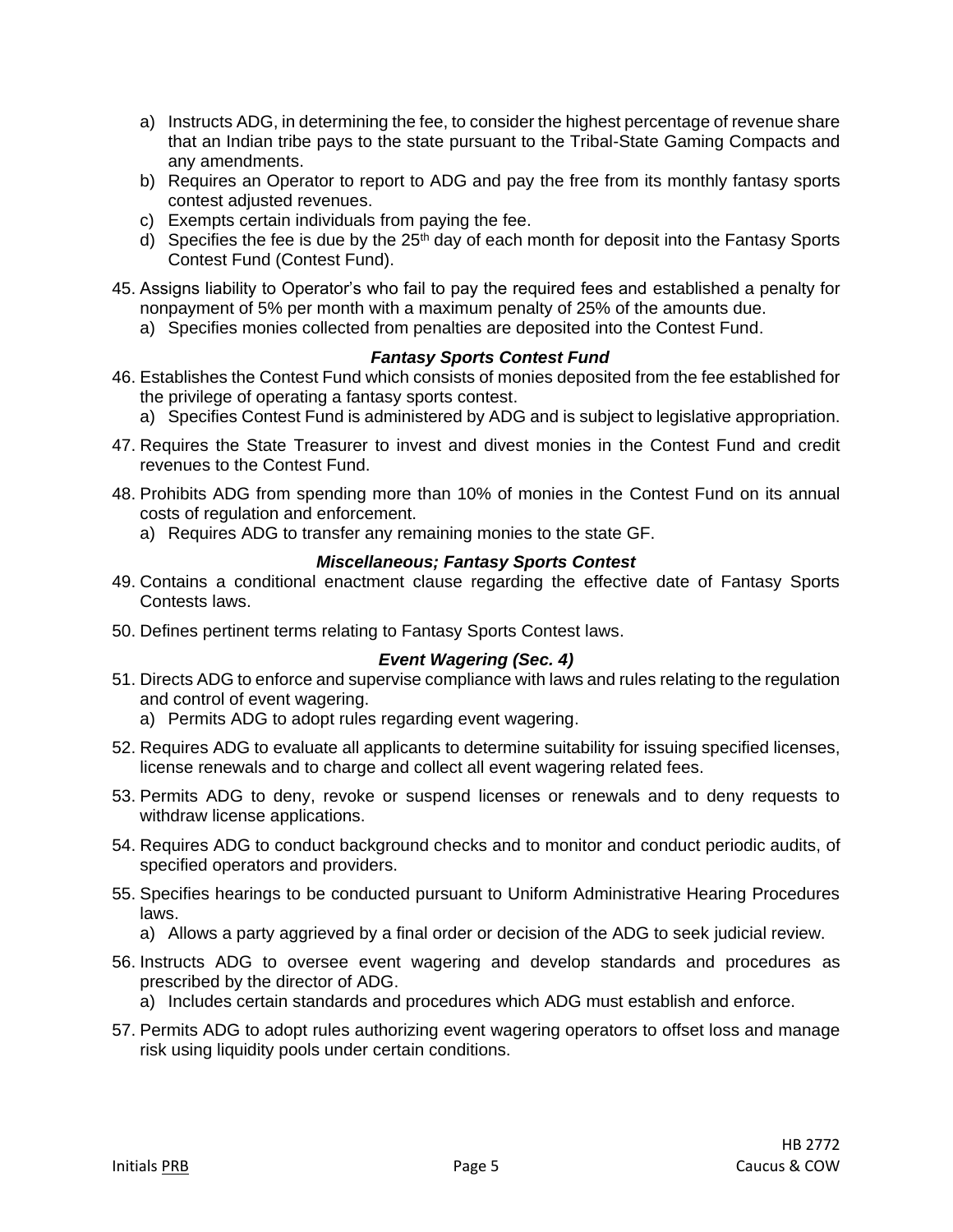- a) Instructs ADG, in determining the fee, to consider the highest percentage of revenue share that an Indian tribe pays to the state pursuant to the Tribal-State Gaming Compacts and any amendments.
- b) Requires an Operator to report to ADG and pay the free from its monthly fantasy sports contest adjusted revenues.
- c) Exempts certain individuals from paying the fee.
- d) Specifies the fee is due by the  $25<sup>th</sup>$  day of each month for deposit into the Fantasy Sports Contest Fund (Contest Fund).
- 45. Assigns liability to Operator's who fail to pay the required fees and established a penalty for nonpayment of 5% per month with a maximum penalty of 25% of the amounts due.
	- a) Specifies monies collected from penalties are deposited into the Contest Fund.

#### *Fantasy Sports Contest Fund*

- 46. Establishes the Contest Fund which consists of monies deposited from the fee established for the privilege of operating a fantasy sports contest.
	- a) Specifies Contest Fund is administered by ADG and is subject to legislative appropriation.
- 47. Requires the State Treasurer to invest and divest monies in the Contest Fund and credit revenues to the Contest Fund.
- 48. Prohibits ADG from spending more than 10% of monies in the Contest Fund on its annual costs of regulation and enforcement.
	- a) Requires ADG to transfer any remaining monies to the state GF.

#### *Miscellaneous; Fantasy Sports Contest*

- 49. Contains a conditional enactment clause regarding the effective date of Fantasy Sports Contests laws.
- 50. Defines pertinent terms relating to Fantasy Sports Contest laws.

# *Event Wagering (Sec. 4)*

- 51. Directs ADG to enforce and supervise compliance with laws and rules relating to the regulation and control of event wagering.
	- a) Permits ADG to adopt rules regarding event wagering.
- 52. Requires ADG to evaluate all applicants to determine suitability for issuing specified licenses, license renewals and to charge and collect all event wagering related fees.
- 53. Permits ADG to deny, revoke or suspend licenses or renewals and to deny requests to withdraw license applications.
- 54. Requires ADG to conduct background checks and to monitor and conduct periodic audits, of specified operators and providers.
- 55. Specifies hearings to be conducted pursuant to Uniform Administrative Hearing Procedures laws.
	- a) Allows a party aggrieved by a final order or decision of the ADG to seek judicial review.
- 56. Instructs ADG to oversee event wagering and develop standards and procedures as prescribed by the director of ADG.
	- a) Includes certain standards and procedures which ADG must establish and enforce.
- 57. Permits ADG to adopt rules authorizing event wagering operators to offset loss and manage risk using liquidity pools under certain conditions.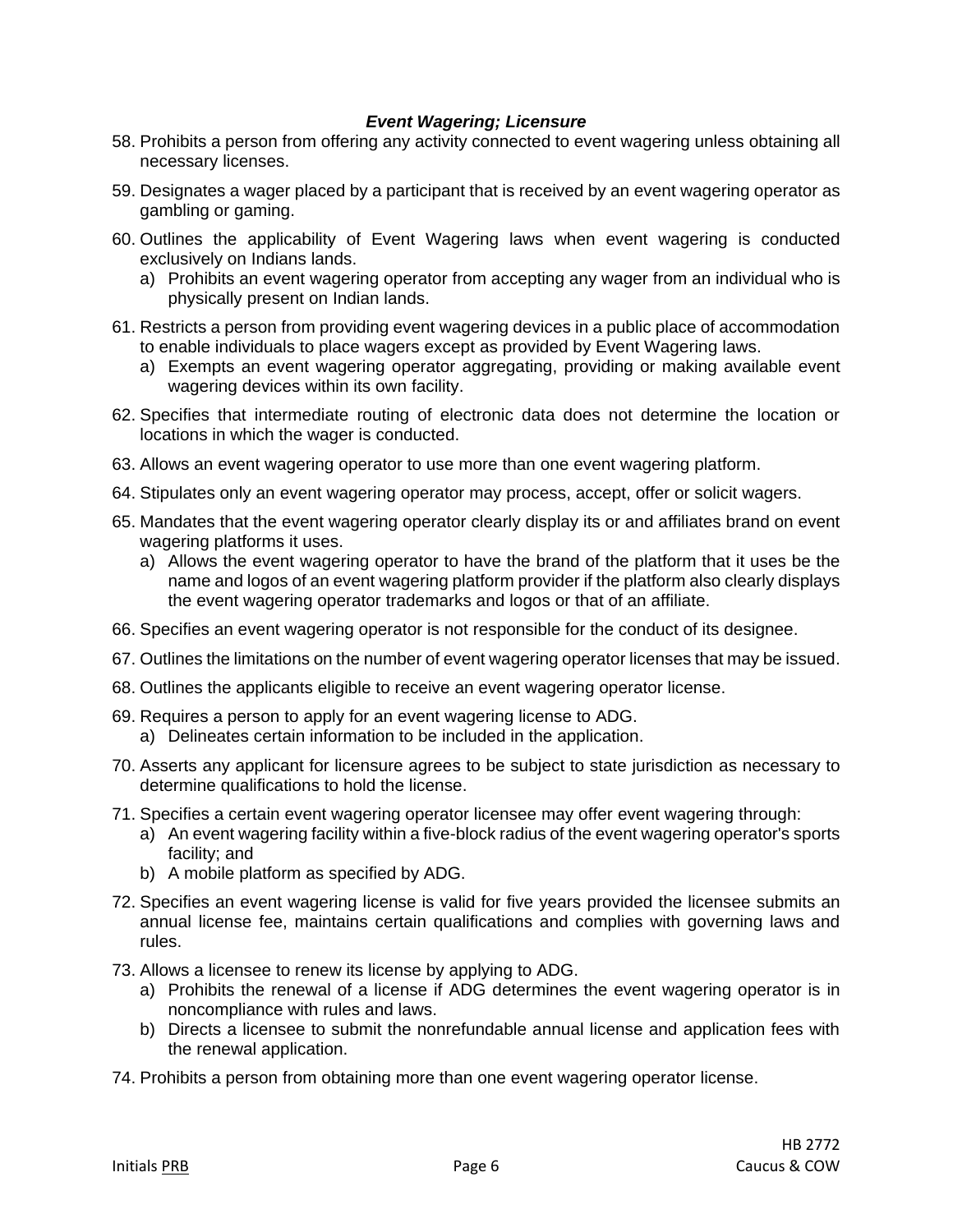#### *Event Wagering; Licensure*

- 58. Prohibits a person from offering any activity connected to event wagering unless obtaining all necessary licenses.
- 59. Designates a wager placed by a participant that is received by an event wagering operator as gambling or gaming.
- 60. Outlines the applicability of Event Wagering laws when event wagering is conducted exclusively on Indians lands.
	- a) Prohibits an event wagering operator from accepting any wager from an individual who is physically present on Indian lands.
- 61. Restricts a person from providing event wagering devices in a public place of accommodation to enable individuals to place wagers except as provided by Event Wagering laws.
	- a) Exempts an event wagering operator aggregating, providing or making available event wagering devices within its own facility.
- 62. Specifies that intermediate routing of electronic data does not determine the location or locations in which the wager is conducted.
- 63. Allows an event wagering operator to use more than one event wagering platform.
- 64. Stipulates only an event wagering operator may process, accept, offer or solicit wagers.
- 65. Mandates that the event wagering operator clearly display its or and affiliates brand on event wagering platforms it uses.
	- a) Allows the event wagering operator to have the brand of the platform that it uses be the name and logos of an event wagering platform provider if the platform also clearly displays the event wagering operator trademarks and logos or that of an affiliate.
- 66. Specifies an event wagering operator is not responsible for the conduct of its designee.
- 67. Outlines the limitations on the number of event wagering operator licenses that may be issued.
- 68. Outlines the applicants eligible to receive an event wagering operator license.
- 69. Requires a person to apply for an event wagering license to ADG.
	- a) Delineates certain information to be included in the application.
- 70. Asserts any applicant for licensure agrees to be subject to state jurisdiction as necessary to determine qualifications to hold the license.
- 71. Specifies a certain event wagering operator licensee may offer event wagering through:
	- a) An event wagering facility within a five-block radius of the event wagering operator's sports facility; and
	- b) A mobile platform as specified by ADG.
- 72. Specifies an event wagering license is valid for five years provided the licensee submits an annual license fee, maintains certain qualifications and complies with governing laws and rules.
- 73. Allows a licensee to renew its license by applying to ADG.
	- a) Prohibits the renewal of a license if ADG determines the event wagering operator is in noncompliance with rules and laws.
	- b) Directs a licensee to submit the nonrefundable annual license and application fees with the renewal application.
- 74. Prohibits a person from obtaining more than one event wagering operator license.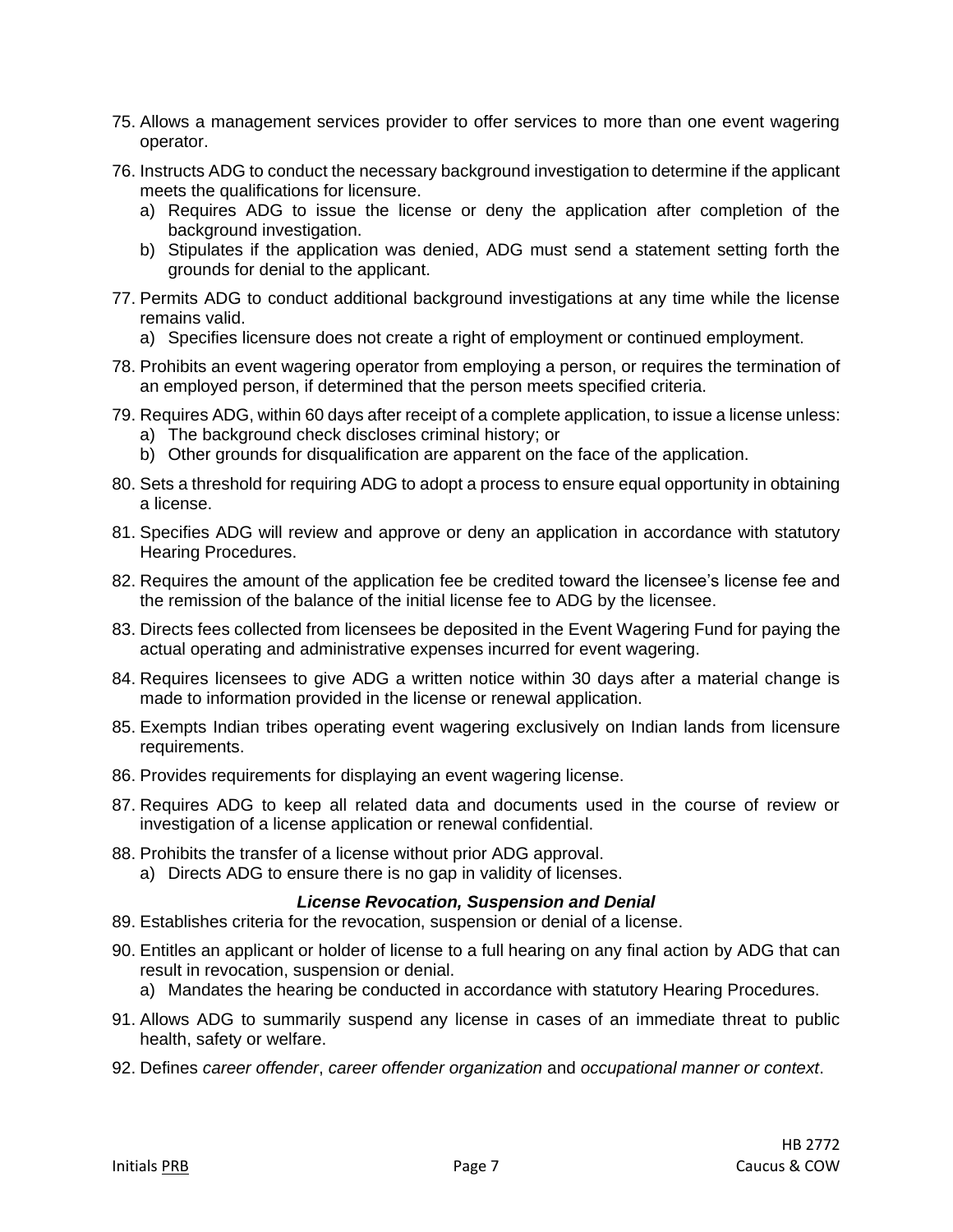- 75. Allows a management services provider to offer services to more than one event wagering operator.
- 76. Instructs ADG to conduct the necessary background investigation to determine if the applicant meets the qualifications for licensure.
	- a) Requires ADG to issue the license or deny the application after completion of the background investigation.
	- b) Stipulates if the application was denied, ADG must send a statement setting forth the grounds for denial to the applicant.
- 77. Permits ADG to conduct additional background investigations at any time while the license remains valid.
	- a) Specifies licensure does not create a right of employment or continued employment.
- 78. Prohibits an event wagering operator from employing a person, or requires the termination of an employed person, if determined that the person meets specified criteria.
- 79. Requires ADG, within 60 days after receipt of a complete application, to issue a license unless:
	- a) The background check discloses criminal history; or
	- b) Other grounds for disqualification are apparent on the face of the application.
- 80. Sets a threshold for requiring ADG to adopt a process to ensure equal opportunity in obtaining a license.
- 81. Specifies ADG will review and approve or deny an application in accordance with statutory Hearing Procedures.
- 82. Requires the amount of the application fee be credited toward the licensee's license fee and the remission of the balance of the initial license fee to ADG by the licensee.
- 83. Directs fees collected from licensees be deposited in the Event Wagering Fund for paying the actual operating and administrative expenses incurred for event wagering.
- 84. Requires licensees to give ADG a written notice within 30 days after a material change is made to information provided in the license or renewal application.
- 85. Exempts Indian tribes operating event wagering exclusively on Indian lands from licensure requirements.
- 86. Provides requirements for displaying an event wagering license.
- 87. Requires ADG to keep all related data and documents used in the course of review or investigation of a license application or renewal confidential.
- 88. Prohibits the transfer of a license without prior ADG approval.
	- a) Directs ADG to ensure there is no gap in validity of licenses.

# *License Revocation, Suspension and Denial*

- 89. Establishes criteria for the revocation, suspension or denial of a license.
- 90. Entitles an applicant or holder of license to a full hearing on any final action by ADG that can result in revocation, suspension or denial.
	- a) Mandates the hearing be conducted in accordance with statutory Hearing Procedures.
- 91. Allows ADG to summarily suspend any license in cases of an immediate threat to public health, safety or welfare.
- 92. Defines *career offender*, *career offender organization* and *occupational manner or context*.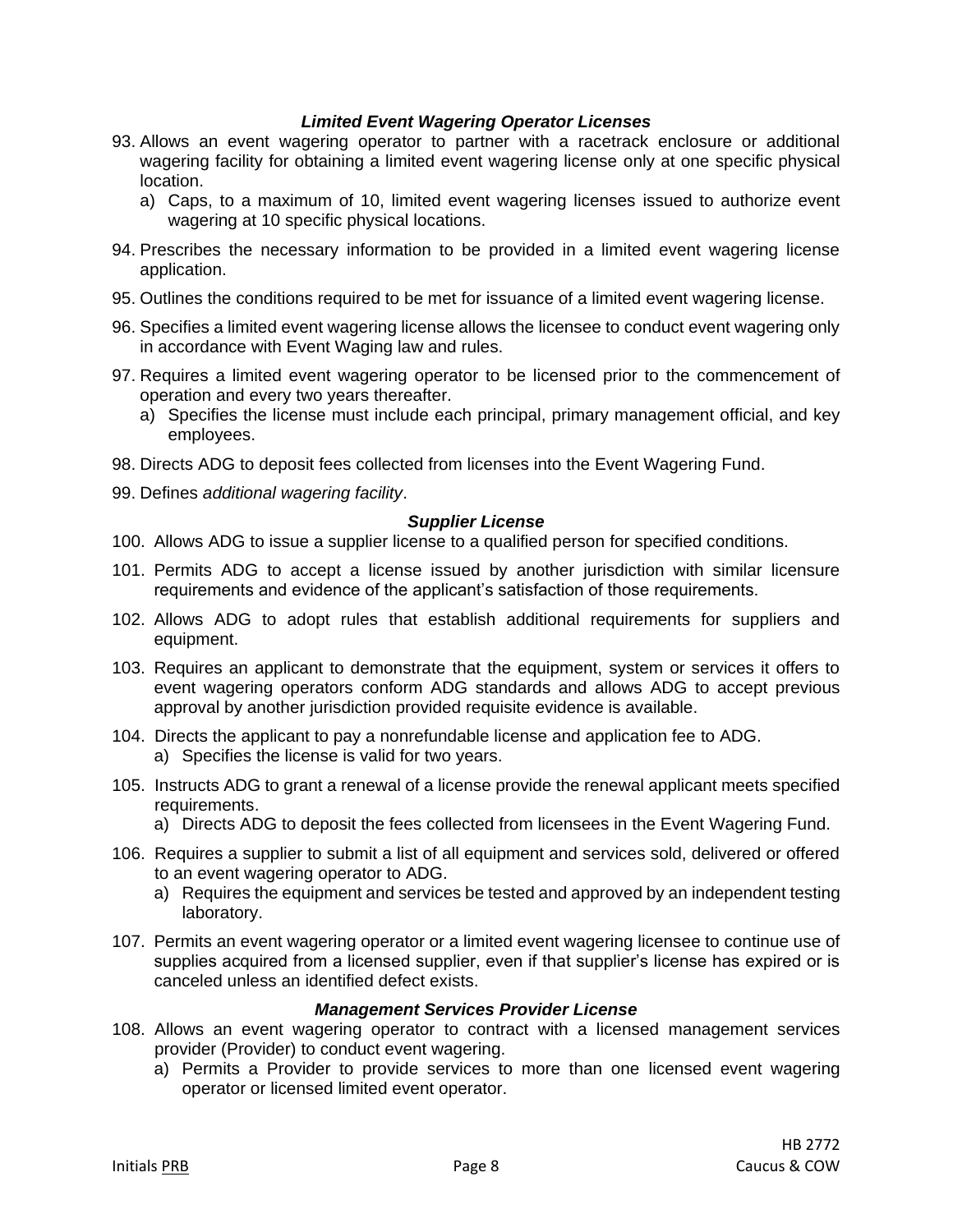#### *Limited Event Wagering Operator Licenses*

- 93. Allows an event wagering operator to partner with a racetrack enclosure or additional wagering facility for obtaining a limited event wagering license only at one specific physical location.
	- a) Caps, to a maximum of 10, limited event wagering licenses issued to authorize event wagering at 10 specific physical locations.
- 94. Prescribes the necessary information to be provided in a limited event wagering license application.
- 95. Outlines the conditions required to be met for issuance of a limited event wagering license.
- 96. Specifies a limited event wagering license allows the licensee to conduct event wagering only in accordance with Event Waging law and rules.
- 97. Requires a limited event wagering operator to be licensed prior to the commencement of operation and every two years thereafter.
	- a) Specifies the license must include each principal, primary management official, and key employees.
- 98. Directs ADG to deposit fees collected from licenses into the Event Wagering Fund.
- 99. Defines *additional wagering facility*.

#### *Supplier License*

- 100. Allows ADG to issue a supplier license to a qualified person for specified conditions.
- 101. Permits ADG to accept a license issued by another jurisdiction with similar licensure requirements and evidence of the applicant's satisfaction of those requirements.
- 102. Allows ADG to adopt rules that establish additional requirements for suppliers and equipment.
- 103. Requires an applicant to demonstrate that the equipment, system or services it offers to event wagering operators conform ADG standards and allows ADG to accept previous approval by another jurisdiction provided requisite evidence is available.
- 104. Directs the applicant to pay a nonrefundable license and application fee to ADG. a) Specifies the license is valid for two years.
- 105. Instructs ADG to grant a renewal of a license provide the renewal applicant meets specified requirements.
	- a) Directs ADG to deposit the fees collected from licensees in the Event Wagering Fund.
- 106. Requires a supplier to submit a list of all equipment and services sold, delivered or offered to an event wagering operator to ADG.
	- a) Requires the equipment and services be tested and approved by an independent testing laboratory.
- 107. Permits an event wagering operator or a limited event wagering licensee to continue use of supplies acquired from a licensed supplier, even if that supplier's license has expired or is canceled unless an identified defect exists.

#### *Management Services Provider License*

- 108. Allows an event wagering operator to contract with a licensed management services provider (Provider) to conduct event wagering.
	- a) Permits a Provider to provide services to more than one licensed event wagering operator or licensed limited event operator.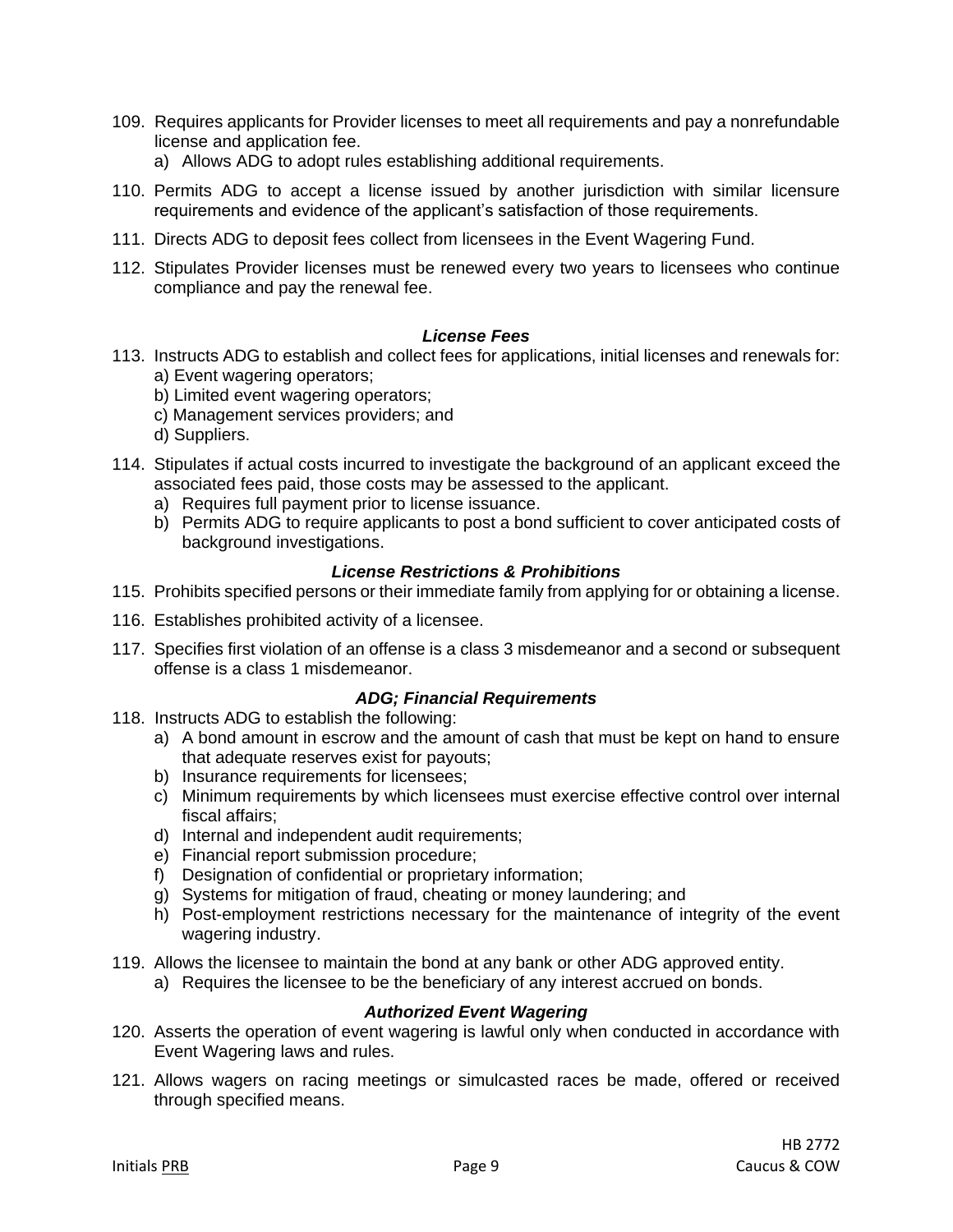- 109. Requires applicants for Provider licenses to meet all requirements and pay a nonrefundable license and application fee.
	- a) Allows ADG to adopt rules establishing additional requirements.
- 110. Permits ADG to accept a license issued by another jurisdiction with similar licensure requirements and evidence of the applicant's satisfaction of those requirements.
- 111. Directs ADG to deposit fees collect from licensees in the Event Wagering Fund.
- 112. Stipulates Provider licenses must be renewed every two years to licensees who continue compliance and pay the renewal fee.

#### *License Fees*

- 113. Instructs ADG to establish and collect fees for applications, initial licenses and renewals for: a) Event wagering operators;
	- b) Limited event wagering operators;
	- c) Management services providers; and
	- d) Suppliers.
- 114. Stipulates if actual costs incurred to investigate the background of an applicant exceed the associated fees paid, those costs may be assessed to the applicant.
	- a) Requires full payment prior to license issuance.
	- b) Permits ADG to require applicants to post a bond sufficient to cover anticipated costs of background investigations.

#### *License Restrictions & Prohibitions*

- 115. Prohibits specified persons or their immediate family from applying for or obtaining a license.
- 116. Establishes prohibited activity of a licensee.
- 117. Specifies first violation of an offense is a class 3 misdemeanor and a second or subsequent offense is a class 1 misdemeanor.

# *ADG; Financial Requirements*

- 118. Instructs ADG to establish the following:
	- a) A bond amount in escrow and the amount of cash that must be kept on hand to ensure that adequate reserves exist for payouts;
	- b) Insurance requirements for licensees;
	- c) Minimum requirements by which licensees must exercise effective control over internal fiscal affairs;
	- d) Internal and independent audit requirements;
	- e) Financial report submission procedure;
	- f) Designation of confidential or proprietary information;
	- g) Systems for mitigation of fraud, cheating or money laundering; and
	- h) Post-employment restrictions necessary for the maintenance of integrity of the event wagering industry.
- 119. Allows the licensee to maintain the bond at any bank or other ADG approved entity.
	- a) Requires the licensee to be the beneficiary of any interest accrued on bonds.

# *Authorized Event Wagering*

- 120. Asserts the operation of event wagering is lawful only when conducted in accordance with Event Wagering laws and rules.
- 121. Allows wagers on racing meetings or simulcasted races be made, offered or received through specified means.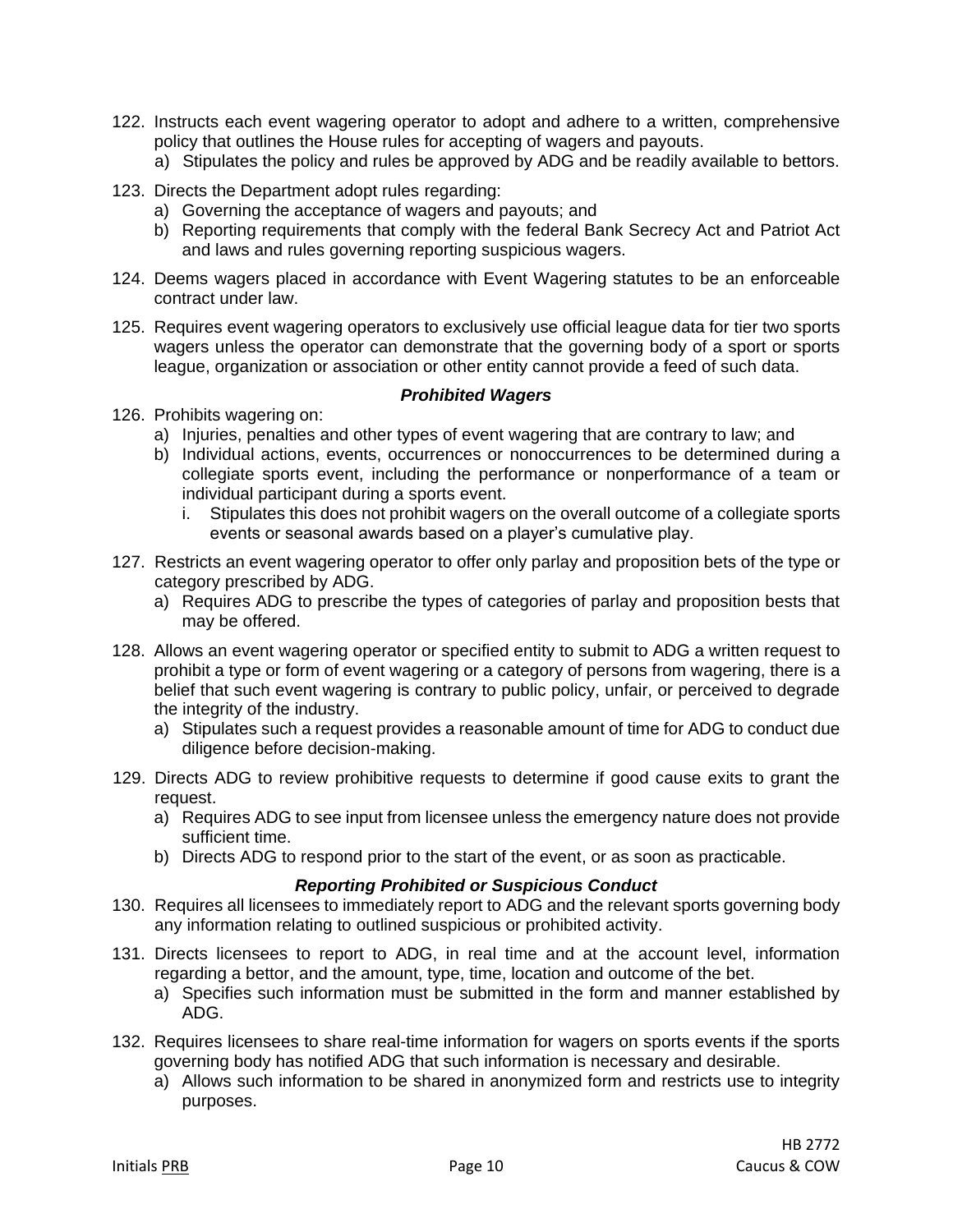- 122. Instructs each event wagering operator to adopt and adhere to a written, comprehensive policy that outlines the House rules for accepting of wagers and payouts.
	- a) Stipulates the policy and rules be approved by ADG and be readily available to bettors.
- 123. Directs the Department adopt rules regarding:
	- a) Governing the acceptance of wagers and payouts; and
	- b) Reporting requirements that comply with the federal Bank Secrecy Act and Patriot Act and laws and rules governing reporting suspicious wagers.
- 124. Deems wagers placed in accordance with Event Wagering statutes to be an enforceable contract under law.
- 125. Requires event wagering operators to exclusively use official league data for tier two sports wagers unless the operator can demonstrate that the governing body of a sport or sports league, organization or association or other entity cannot provide a feed of such data.

#### *Prohibited Wagers*

- 126. Prohibits wagering on:
	- a) Injuries, penalties and other types of event wagering that are contrary to law; and
	- b) Individual actions, events, occurrences or nonoccurrences to be determined during a collegiate sports event, including the performance or nonperformance of a team or individual participant during a sports event.
		- i. Stipulates this does not prohibit wagers on the overall outcome of a collegiate sports events or seasonal awards based on a player's cumulative play.
- 127. Restricts an event wagering operator to offer only parlay and proposition bets of the type or category prescribed by ADG.
	- a) Requires ADG to prescribe the types of categories of parlay and proposition bests that may be offered.
- 128. Allows an event wagering operator or specified entity to submit to ADG a written request to prohibit a type or form of event wagering or a category of persons from wagering, there is a belief that such event wagering is contrary to public policy, unfair, or perceived to degrade the integrity of the industry.
	- a) Stipulates such a request provides a reasonable amount of time for ADG to conduct due diligence before decision-making.
- 129. Directs ADG to review prohibitive requests to determine if good cause exits to grant the request.
	- a) Requires ADG to see input from licensee unless the emergency nature does not provide sufficient time.
	- b) Directs ADG to respond prior to the start of the event, or as soon as practicable.

#### *Reporting Prohibited or Suspicious Conduct*

- 130. Requires all licensees to immediately report to ADG and the relevant sports governing body any information relating to outlined suspicious or prohibited activity.
- 131. Directs licensees to report to ADG, in real time and at the account level, information regarding a bettor, and the amount, type, time, location and outcome of the bet.
	- a) Specifies such information must be submitted in the form and manner established by ADG.
- 132. Requires licensees to share real-time information for wagers on sports events if the sports governing body has notified ADG that such information is necessary and desirable.
	- a) Allows such information to be shared in anonymized form and restricts use to integrity purposes.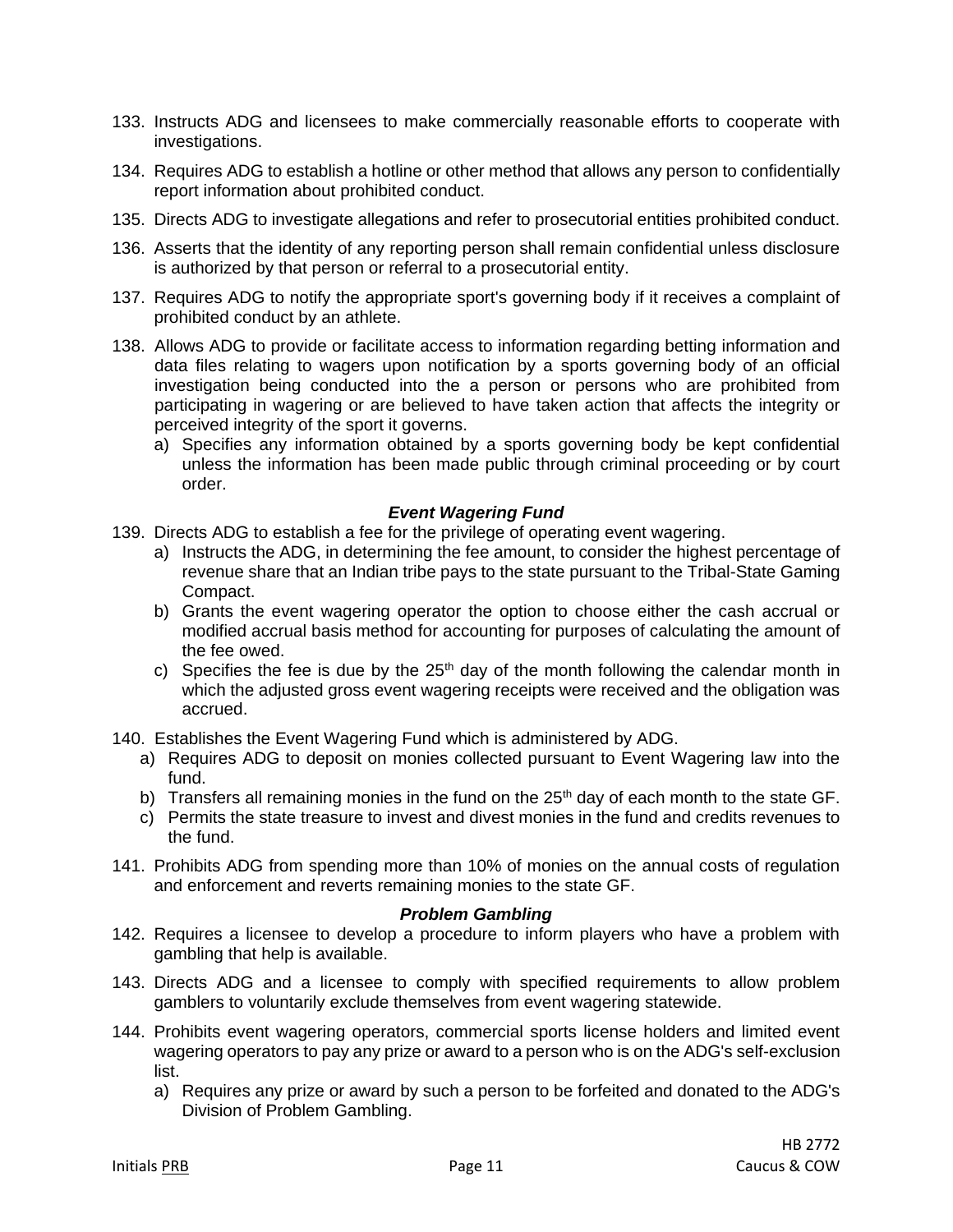- 133. Instructs ADG and licensees to make commercially reasonable efforts to cooperate with investigations.
- 134. Requires ADG to establish a hotline or other method that allows any person to confidentially report information about prohibited conduct.
- 135. Directs ADG to investigate allegations and refer to prosecutorial entities prohibited conduct.
- 136. Asserts that the identity of any reporting person shall remain confidential unless disclosure is authorized by that person or referral to a prosecutorial entity.
- 137. Requires ADG to notify the appropriate sport's governing body if it receives a complaint of prohibited conduct by an athlete.
- 138. Allows ADG to provide or facilitate access to information regarding betting information and data files relating to wagers upon notification by a sports governing body of an official investigation being conducted into the a person or persons who are prohibited from participating in wagering or are believed to have taken action that affects the integrity or perceived integrity of the sport it governs.
	- a) Specifies any information obtained by a sports governing body be kept confidential unless the information has been made public through criminal proceeding or by court order.

#### *Event Wagering Fund*

- 139. Directs ADG to establish a fee for the privilege of operating event wagering.
	- a) Instructs the ADG, in determining the fee amount, to consider the highest percentage of revenue share that an Indian tribe pays to the state pursuant to the Tribal-State Gaming Compact.
	- b) Grants the event wagering operator the option to choose either the cash accrual or modified accrual basis method for accounting for purposes of calculating the amount of the fee owed.
	- c) Specifies the fee is due by the  $25<sup>th</sup>$  day of the month following the calendar month in which the adjusted gross event wagering receipts were received and the obligation was accrued.
- 140. Establishes the Event Wagering Fund which is administered by ADG.
	- a) Requires ADG to deposit on monies collected pursuant to Event Wagering law into the fund.
	- b) Transfers all remaining monies in the fund on the  $25<sup>th</sup>$  day of each month to the state GF.
	- c) Permits the state treasure to invest and divest monies in the fund and credits revenues to the fund.
- 141. Prohibits ADG from spending more than 10% of monies on the annual costs of regulation and enforcement and reverts remaining monies to the state GF.

#### *Problem Gambling*

- 142. Requires a licensee to develop a procedure to inform players who have a problem with gambling that help is available.
- 143. Directs ADG and a licensee to comply with specified requirements to allow problem gamblers to voluntarily exclude themselves from event wagering statewide.
- 144. Prohibits event wagering operators, commercial sports license holders and limited event wagering operators to pay any prize or award to a person who is on the ADG's self-exclusion list.
	- a) Requires any prize or award by such a person to be forfeited and donated to the ADG's Division of Problem Gambling.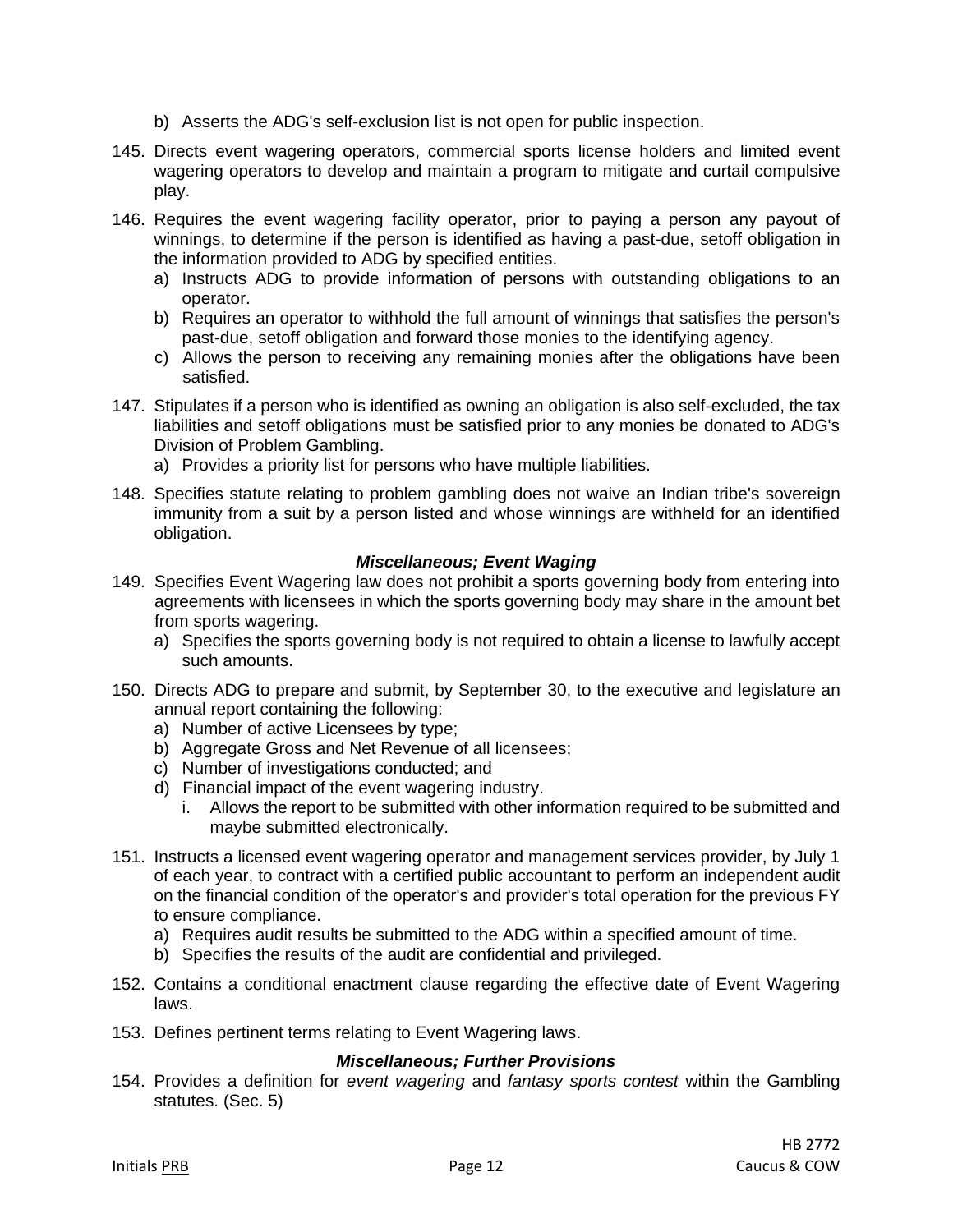- b) Asserts the ADG's self-exclusion list is not open for public inspection.
- 145. Directs event wagering operators, commercial sports license holders and limited event wagering operators to develop and maintain a program to mitigate and curtail compulsive play.
- 146. Requires the event wagering facility operator, prior to paying a person any payout of winnings, to determine if the person is identified as having a past-due, setoff obligation in the information provided to ADG by specified entities.
	- a) Instructs ADG to provide information of persons with outstanding obligations to an operator.
	- b) Requires an operator to withhold the full amount of winnings that satisfies the person's past-due, setoff obligation and forward those monies to the identifying agency.
	- c) Allows the person to receiving any remaining monies after the obligations have been satisfied.
- 147. Stipulates if a person who is identified as owning an obligation is also self-excluded, the tax liabilities and setoff obligations must be satisfied prior to any monies be donated to ADG's Division of Problem Gambling.
	- a) Provides a priority list for persons who have multiple liabilities.
- 148. Specifies statute relating to problem gambling does not waive an Indian tribe's sovereign immunity from a suit by a person listed and whose winnings are withheld for an identified obligation.

#### *Miscellaneous; Event Waging*

- 149. Specifies Event Wagering law does not prohibit a sports governing body from entering into agreements with licensees in which the sports governing body may share in the amount bet from sports wagering.
	- a) Specifies the sports governing body is not required to obtain a license to lawfully accept such amounts.
- 150. Directs ADG to prepare and submit, by September 30, to the executive and legislature an annual report containing the following:
	- a) Number of active Licensees by type;
	- b) Aggregate Gross and Net Revenue of all licensees;
	- c) Number of investigations conducted; and
	- d) Financial impact of the event wagering industry.
		- i. Allows the report to be submitted with other information required to be submitted and maybe submitted electronically.
- 151. Instructs a licensed event wagering operator and management services provider, by July 1 of each year, to contract with a certified public accountant to perform an independent audit on the financial condition of the operator's and provider's total operation for the previous FY to ensure compliance.
	- a) Requires audit results be submitted to the ADG within a specified amount of time.
	- b) Specifies the results of the audit are confidential and privileged.
- 152. Contains a conditional enactment clause regarding the effective date of Event Wagering laws.
- 153. Defines pertinent terms relating to Event Wagering laws.

# *Miscellaneous; Further Provisions*

154. Provides a definition for *event wagering* and *fantasy sports contest* within the Gambling statutes. (Sec. 5)